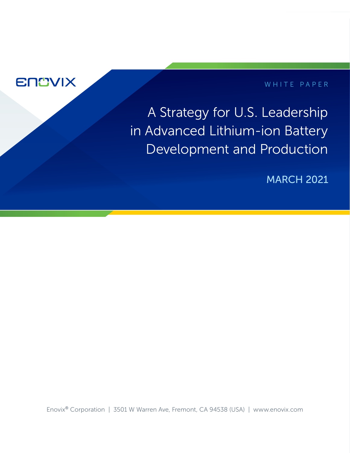

## WHITE PAPER

A Strategy for U.S. Leadership in Advanced Lithium-ion Battery Development and Production

MARCH 2021

Enovix® Corporation | 3501 W Warren Ave, Fremont, CA 94538 (USA) | www.enovix.com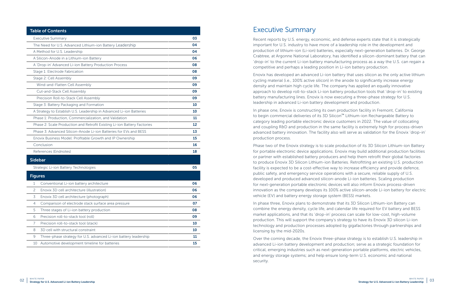| <b>Table of Contents</b>                                                 |    |
|--------------------------------------------------------------------------|----|
| <b>Executive Summary</b>                                                 | 03 |
| The Need for U.S. Advanced Lithium-ion Battery Leadership                | 04 |
| A Method for U.S. Leadership                                             | 04 |
| A Silicon-Anode in a Lithium-ion Battery                                 | 06 |
| A 'Drop-in' Advanced Li-ion Battery Production Process                   | 08 |
| Stage 1: Electrode Fabrication                                           | 08 |
| Stage 2: Cell Assembly                                                   | 09 |
| Wind-and-Flatten Cell Assembly                                           | 09 |
| Cut-and-Stack Cell Assembly                                              | 09 |
| Precision Roll-to-Stack Cell Assembly                                    | 09 |
| Stage 3: Battery Packaging and Formation                                 | 10 |
| A Strategy to Establish U.S. Leadership in Advanced Li-ion Batteries     | 10 |
| Phase 1: Production, Commercialization, and Validation                   | 11 |
| Phase 2: Scale Production and Retrofit Existing Li-ion Battery Factories | 12 |
| Phase 3: Advanced Silicon-Anode Li-ion Batteries for EVs and BESS        | 13 |
| Enovix Business Model: Profitable Growth and IP Ownership                | 15 |
| Conclusion                                                               | 16 |
| References (Endnotes)                                                    | 18 |
| <b>Sidebar</b>                                                           |    |
| Strategic Li-ion Battery Technologies                                    | 05 |
| <b>Figures</b>                                                           |    |
| 1<br>Conventional Li-ion battery architecture                            | 06 |
| $\overline{c}$<br>Enovix 3D cell architecture (illustration)             | 06 |
| 3<br>Enovix 3D cell architecture (photograph)                            | 06 |
| Comparison of electrode stack surface area pressure<br>4                 | 07 |
| Three stages of Li-ion battery production<br>5                           | 08 |
| Precision roll-to-stack tool (roll)<br>6                                 | 09 |
| 7<br>Precision roll-to-stack tool (stack)                                | 10 |
| 3D cell with structural constraint<br>8                                  | 10 |
| Three-phase strategy for U.S. advanced Li-ion battery leadership<br>9    | 11 |
| Automotive development timeline for batteries<br>10                      | 15 |

# Executive Summary

Recent reports by U.S. energy, economic, and defense experts state that it is strategically important for U.S. industry to have more of a leadership role in the development and production of lithium-ion (Li-ion) batteries, especially next-generation batteries. Dr. George Crabtree, at Argonne National Laboratory, has identified a silicon-dominant battery that can 'drop-in' to the current Li-ion battery manufacturing process as a way the U.S. can regain a competitive and perhaps a leading position in Li-ion battery production.

Enovix has developed an advanced Li-ion battery that uses silicon as the only active lithium cycling material (i.e., 100% active silicon) in the anode to significantly increase energy density and maintain high cycle life. The company has applied an equally innovative approach to develop roll-to-stack Li-ion battery production tools that 'drop-in' to existing battery manufacturing lines. Enovix is now executing a three-phase strategy for U.S. leadership in advanced Li-ion battery development and production.

In phase one, Enovix is constructing its own production facility in Fremont, California to begin commercial deliveries of its 3D Silicon<sup>™</sup> Lithium-ion Rechargeable Battery to category leading portable electronic device customers in 2022. The value of collocating and coupling R&D and production in the same facility is extremely high for process-driven advanced battery innovation. The facility also will serve as validation for the Enovix 'drop-in' production process.

Phase two of the Enovix strategy is to scale production of its 3D Silicon Lithium-ion Battery for portable electronic device applications. Enovix may build additional production facilities or partner with established battery producers and help them retrofit their global factories to produce Enovix 3D Silicon Lithium-ion Batteries. Retrofitting an existing U.S. production facility is expected to be a cost-effective way to increase efficiency and provide defence, public safety, and emergency service operations with a secure, reliable supply of U.S. developed and produced advanced silicon-anode Li-ion batteries. Scaling production for next-generation portable electronic devices will also inform Enovix process-driven innovation as the company develops its 100% active silicon-anode Li-ion battery for electric vehicle (EV) and battery energy storage system (BESS) markets.

In phase three, Enovix plans to demonstrate that its 3D Silicon Lithium-ion Battery can combine the energy density, cycle life, and calendar life required for EV battery and BESS market applications, and that its 'drop-in' process can scale for low-cost, high-volume production. This will support the company's strategy to have its Enovix 3D silicon Li-ion technology and production processes adopted by gigafactories through partnerships and licensing by the mid-2020s.

Over the coming decade, the Enovix three-phase strategy is to establish U.S. leadership in advanced Li-ion battery development and production; serve as a strategic foundation for critical, emerging industries such as next-generation portable platforms, electric vehicles, and energy storage systems; and help ensure long-term U.S. economic and national security.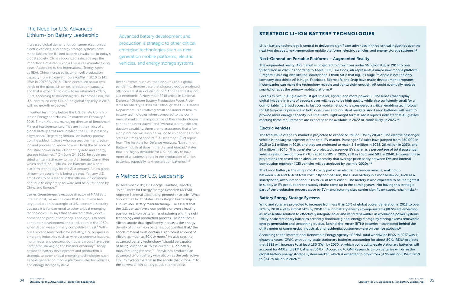Increased global demand for consumer electronics, electric vehicles, and energy storage systems have made lithium-ion (Li-ion) batteries invaluable in today's global society. China recognized a decade ago the importance of establishing a Li-ion cell manufacturing base.<sup>1</sup> According to the International Energy Agency (IEA), China increased its Li-ion cell production capacity from 9 gigawatt hours (GWh) in 2010 to 145 GWh in 2017.² By 2018, China controlled about twothirds of the global Li-ion cell production capacity, and that is expected to grow to an estimated 73% by 2021, according to BloombergNEF. In comparison, the U.S. controlled only 13% of the global capacity in 2018, with no growth expected.<sup>3</sup>

## The Need for U.S. Advanced Lithium-ion Battery Leadership

In written testimony before the U.S. Senate Committee on Energy and Natural Resources on February 5, 2019, Simon Moores, managing director of Benchmark Mineral Intelligence, said, "We are in the midst of a global battery arms race in which the U.S. is presently a bystander." Regarding lithium-ion battery production, he added, "…those who possess the manufacturing and processing know-how will hold the balance of industrial power in the 21st century auto and energy storage industries."<sup>4</sup> On June 24, 2020, he again provided written testimony to the U.S. Senate Committee which reiterated, "Lithium-ion batteries are a core platform technology for the 21st century. A new global lithium-ion economy is being created. Yet, any U.S. ambitions to be a leader in this lithium-ion economy continue to only creep forward and be outstripped by China and Europe."5

James Greenberger, executive director of NAATBatt International, makes the case that lithium-ion battery production is strategic to U.S. economic security because it is fundamental to other critical emerging technologies. He says that advanced battery development and production today is analogous to semiconductor development and production in the 1980s, when Japan was a primary competitive threat.<sup>6</sup> Without a vibrant semiconductor industry, U.S. progress in emerging industries such as wireless communications, multimedia, and personal computers would have been hampered, damaging the broader economy.<sup>7</sup> Today advanced battery development and production is strategic to other critical emerging technologies such as next-generation mobile platforms, electric vehicles, and energy storage systems.

Advanced battery development and production is strategic to other critical emerging technologies such as nextgeneration mobile platforms, electric vehicles, and energy storage systems.

Recent events, such as trade disputes and a global pandemic, demonstrate that strategic goods produced offshore are at risk of disruption.<sup>8</sup> And the threat is not just economic. A November 2018 article in National Defense, "Offshore Battery Production Poses Problems for Military," states that although the U.S. Defense Department "is a relatively small consumer of lithium battery technologies when compared to the commercial market, the importance of these technologies cannot be understated," and "without a domestic production capability, there are no assurances that a foreign producer will even be willing to ship to the United States in times of conflict."<sup>9</sup> A December 2019 report from The Institute for Defense Analyses, "Lithium Ion Battery Industrial Base in the U.S. and Abroad," states that it is "highly desirable for U.S. industry to have more of a leadership role in the production of Li-ion batteries, especially next-generation batteries."10

> The Li-ion battery is the single most costly part of an electric passenger vehicle, making up between 35% and 45% of total cost.<sup>19</sup> By comparison, the Li-ion battery in a mobile device, such as a smartphone, accounts for about 1% to 2% of total cost.20 The battery is also expected to be the tightest in supply as EV production and supply chains ramp up in the coming years. Not having this strategic part of the production process close by EV manufacturing sites carries significant supply-chain risks.<sup>21</sup>

## A Method for U.S. Leadership

In December 2019, Dr. George Crabtree, Director, Joint Center for Energy Storage Research (JCESR), Argonne National Laboratory, penned an article, "What Should the United States Do to Regain Leadership in Lithium-ion Battery Manufacturing?" He asserts that the U.S. can achieve a competitive or even a leading position in Li-ion battery manufacturing with the right technology and production process. He identifies a silicon-anode that significantly increases the energy density of lithium-ion batteries, but qualifies that," the anode material must contain a significant amount of silicon, as much as 50% or more." He also says the advanced battery technology, "should be capable of being 'dropped in' to the current Li-ion battery manufacturing process."11 Enovix has produced an advanced Li-ion battery with silicon as the only active lithium cycling material in the anode that 'drops-in' to the current Li-ion battery production process.

## STRATEGIC LI-ION BATTERY TECHNOLOGIES

Li-ion battery technology is central to delivering significant advances in three critical industries over the next two decades: next-generation mobile platforms, electric vehicles, and energy storage systems.12

### Next-Generation Portable Platforms – Augmented Reality

The augmented reality (AR) market is projected to grow from under \$6 billion (US) in 2018 to over \$192 billion in 2025.13 According to Apple CEO, Tim Cook, AR represents a major new mobile platform. "I regard it as a big idea like the smartphone. I think AR is that big, it's huge."14 Apple is not the only company that thinks AR is huge. Facebook, Microsoft, and Snap have major development programs. If companies can make the technology reliable and lightweight enough, AR could eventually replace smartphones as the primary mobile platform.15

For this to occur, AR glasses must get smaller, lighter, and more powerful. The lenses that display digital imagery in front of people's eyes will need to be high quality while also sufficiently small for a comfortable fit. Broad access to fast 5G mobile networks is considered a critical enabling technology for AR to grow its presence in both consumer and industrial markets. And Li-ion batteries will need to provide more energy capacity in a small-size, lightweight format. Most reports indicate that AR glasses meeting these requirements are expected to be available in 2022 or, more likely, in 2023.16

#### Electric Vehicles

The total value of the EV market is projected to exceed \$1 trillion (US) by 2030.17 The electric passenger vehicle is the largest segment of the total EV market. Passenger EV sales have jumped from 450,000 in 2015 to 2.1 million in 2019, and they are projected to reach 8.5 million in 2025, 26 million in 2030, and 54 million in 2040. This translates to projected passenger EV share, as a percentage of total passenger vehicle sales, growing from 2.7% in 2020 to 10% in 2025, 28% in 2030, and 58% in 2040. However, these projections are based on an absolute necessity that average price parity between EVs and internal combustion engineer (ICE) vehicles will be achieved by the mid-2020s.18

#### Battery Energy Storage Systems

Wind and solar are projected to increase from less than 10% of global power generation in 2018 to over 20% by 2030 and to almost 50% by 2050.22 Li-ion battery energy storage systems (BESS) are emerging as an essential solution to effectively integrate solar and wind renewables in worldwide power systems. Utility-scale stationary batteries presently dominate global energy storage by storing excess renewable energy generation and smoothing output. Behind-the-meter (BTM) batteries—connected behind the utility meter of commercial, industrial, and residential customers—are on the rise globally.23

According to the International Renewable Energy Agency (IRENA), total worldwide BESS in 2017 was 11 gigawatt hours (GWh), with utility-scale stationary batteries accounting for about 80%. IRENA projects that BESS will increase to at least 180 GWh by 2030, at which point utility-scale stationary batteries will account for 44% and BTM batteries 56%.24 According to GMI Research, Li-ion batteries will drive the global battery energy storage system market, which is expected to grow from \$1.95 million (US) in 2019 to \$34.25 billion in 2026.25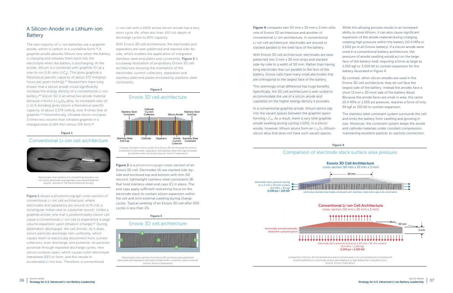## A Silicon-Anode in a Lithium-ion **Battery**

The vast majority of Li-ion batteries use a graphite anode, which is carbon in a crystalline form.26 A graphite anode absorbs lithium ions when the battery is charging and releases them back into the electrolyte when the battery is discharging. At the anode, lithium (Li) combines with graphite (C) at a one-to-six (1:6) ratio (LiC $_6$ ). This gives graphite a theoretical specific capacity of about 372 milliamphours per gram (mAh/g).27 Researchers have long known that a silicon anode could significantly increase the energy density of a conventional Li-ion battery.28 Silicon (Si) is an attractive anode material because it forms a  $Li_{15}Si_4$  alloy. Its increased ratio of Li to Si bonding gives silicon a theoretical specific capacity of about 3,579 mAh/g, over 9 times that of graphite.29 Volumetrically, lithiated silicon occupies 3 times less volume than lithiated graphite in a charged state (2,194 Ah/l versus 719 Ah/l).30

**Figure 1** shows a photomicrograph cross-section of conventional Li-ion cell architecture, where electrodes and separators are wound to fit into a rectangular metal case or a polymer pouch. Unlike a graphite anode, one that is predominately silicon can cause a conventional Li-ion cell to experience a large volume expansion upon lithiation (charge).<sup>31</sup> During delithiation (discharge), the cell shrinks. As it does, silicon particles discharge non-uniformly, which causes them to electrically disconnect from current collectors, over-discharge, and pulverize. As particles pulverize through repeated discharge cycles, new silicon surfaces open, which causes solid-electrolyte interphase (SEI) to form, and this results in accelerated Li-ion loss. Therefore, a conventional

Figure 3 is a photomicrograph cross-section of an Enovix 3D cell. Electrodes (A) are stacked side-byside and enclosed top and bottom with thin (50 micron), lightweight stainless-steel constraints (B) that hold stainless-steel end caps (C) in place. The end caps apply sufficient restraining force on the electrode stack to contain silicon expansion within the cell and limit external swelling during charge cycles. Typical swelling of an Enovix 3D cell after 500 cycles is less than 2%.

Figure 4 compares two 50 mm x 30 mm x 3 mm cells: one of Enovix 3D architecture and another of conventional Li-ion architecture. In conventional Li-ion cell architecture, electrodes are wound or stacked parallel to the (red) face of the battery.

Li-ion cell with a 100% active silicon anode has a very short cycle life, often less than 100 full-depth of discharge cycles to 80% capacity.

With Enovix 3D cell architecture, the electrodes and separators are laser patterned and stacked side-byside, which enables the application of integrated stainless-steel end plates and constraints. Figure 2 is a cutaway illustration of proprietary Enovix 3D cell architecture showing the orientation of the electrodes, current collectors, separators and stainless steel end plates enclosed by stainless-steel constraints.

With Enovix 3D cell architecture, electrodes are laser patterned into 3 mm x 30 mm strips and stacked side-by-side to a width of 50 mm. Rather than having long electrodes that run parallel to the face of the battery, Enovix cells have many small electrodes that are orthogonal to the largest face of the battery.

This seemingly small difference has huge benefits. Specifically, the 3D cell architecture is well-suited to accommodate the use of a silicon anode and capitalize on the higher energy density it provides.

In a conventional graphite anode, lithium atoms slip into the vacant spaces between the graphite layers forming  $LiC<sub>6</sub>$ . As a result, there is very little graphite anode swelling during cycling (<10%). In a silicon anode, however, lithium atoms form an  $Li_{15}Si_4$  lithiumsilicon alloy that does not have such vacant spaces.

- While this alloying process results in an increased ability to store lithium, it can also cause significant expansion of the anode material during charging, creating high pressure within the battery (10.4 MPa or 1,500 psi in an Enovix battery). If a silicon anode were used in a conventional battery architecture, the pressure of anode swelling would act on the large face of the battery (red), requiring a force as large as
- 1,550 kgf or 3,500 lbf to contain expansion for the battery illustrated in Figure 4.
- By contrast, when silicon anodes are used in the Enovix 3D cell architecture, they do not face the largest side of the battery; instead the anodes face a short (3 mm x 30 mm) side of the battery (blue). Because the anode faces are small in area, this same 10.4 MPa or 1,500 psi pressure, requires a force of only 94 kgf or 210 lbf to contain expansion.
	- The stainless steel constraint system surrounds the cell and limits the battery from swelling and growing in size. Moreover, the constraint system keeps the anode
- and cathode materials under constant compression, maintaining excellent particle-to-particle connection.

## Conventional Li-ion cell architecture



*Microscopic cross-section of a conventional wound Li-ion cell shows electrodes and separators wound and flattened (source: Journal of The Electrochemical Society)*

#### Figure 1

#### Enovix 3D cell architecture



*Cutaway illustration (not to scale) of an Enovix 3D cell showing the vertical orientation of electrodes, separators, and stainless-steel end caps enclosed by stainless-steel constraints (source: Enovix Corporation)*

#### Figure 2



*electrodes and separators vertically oriented within a stainless-steel constraint (source: Enovix Corporation)*

#### Figure 4

## Comparison of electrode stack surface area pressure

Conventional Li-ion Cell Architecture





*Comparison of Enovix 3D cell architecture and of conventional Li-ion cell architecture illustrating the extreme difference in electrode surface area leading to a high differential in resultant force*. *(source: Enovix Corporation)*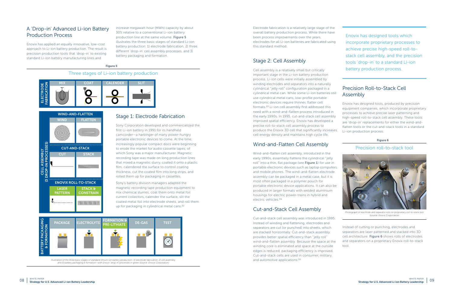Electrode fabrication is a relatively large stage of the overall battery production process. While there have been process improvements over the years, electrodes for all Li-ion batteries are fabricated using this standard method.

## Stage 2: Cell Assembly

Cell assembly is a relatively small but critically important stage in the Li-ion battery production process. Li-ion cells were initially assembled by winding electrodes and separators into a naturally cylindrical "jelly roll" configuration packaged in a cylindrical metal can. While some Li-ion batteries still use cylindrical metal cans, low-profile portable electronic devices require thinner, flatter cell formats.33 Li-ion cell assembly first addressed this need with a wind-and-flatten process introduced in the early 1990s. In 1995, cut-and-stack cell assembly improved spatial efficiency. Enovix has developed a precise roll-to-stack cell assembly process to produce the Enovix 3D cell that significantly increases cell energy density and maintains high cycle life.

## Wind-and-Flatten Cell Assembly

Wind-and-flatten cell assembly, introduced in the early 1990s, essentially flattens the cylindrical "jelly roll" into a thin, flat package (see Figure 1) for use in portable electronic devices such as laptop computers and mobile phones. The wind-and-flatten electrode assembly can be packaged in a metal case, but it is most often packaged in a polymer pouch for portable electronic device applications. It can also be produced in larger formats with welded aluminium housings for electric power-trains in hybrid and electric vehicles.34

## Cut-and-Stack Cell Assembly

Cut-and-stack cell assembly was introduced in 1995. Instead of winding and flattening, electrodes and separators are cut (or punched) into sheets, which are stacked horizontally. Cut-and-stack assembly provides better spatial efficiency than "jelly roll" wind-and-flatten assembly. Because the space at the winding core is eliminated and space at the outside edges is reduced, packaging efficiency is improved. Cut-and-stack cells are used in consumer, military, and automotive applications.35

Enovix has designed tools which incorporate proprietary processes to achieve precise high-speed roll-tostack cell assembly, and the precision tools 'drop-in' to a standard Li-ion battery production process.

## Precision Roll-to-Stack Cell Assembly

Enovix has designed tools, produced by precision equipment companies, which incorporate proprietary processes to achieve precise laser patterning and high-speed roll-to-stack cell assembly. These tools are 'drop-in' replacements for either the wind-andflatten tools or the cut-and-stack tools in a standard Li-ion production process.

Instead of cutting or punching, electrodes and separators are laser patterned and stacked into 3D cell architecture. Figure 6 shows rolls of electrodes and separators on a proprietary Enovix roll-to-stack tool.

## A 'Drop-in' Advanced Li-ion Battery Production Process

Enovix has applied an equally innovative, low-cost approach to Li-ion battery production. The result is precision production tools that 'drop-in' to existing standard Li-ion battery manufacturing lines and

increase megawatt hour (MWh) capacity by about 30% relative to a conventional Li-ion battery production line at the same volume. Figure 5 illustrates the three basic stages of standard Li-ion battery production: 1) electrode fabrication, 2) three different 'drop-in' cell assembly processes, and 3) battery packaging and formation.

#### Figure 5







## Three stages of Li-ion battery production

*Illustration of the three basic stages of standard lithium-ion battery production—1) electrode fabrication, 2) cell assembly, and 3) battery packaging & formation—with Enovix 'drop-in' processes in green (source: Enovix Corporation)*

## Stage 1: Electrode Fabrication

Sony Corporation developed and commercialized the first Li-ion battery in 1991 for its handheld camcorder—a harbinger of many power-hungry portable electronic devices to come. At the time, increasingly popular compact discs were beginning to erode the market for audio cassette tapes, of which Sony was a major manufacturer. Magnetic recording tape was made on long production lines that mixed a magnetic slurry, coated it onto a plastic film, calendered the surface to control coating thickness, cut the coated film into long strips, and rolled them up for packaging in cassettes.

Sony's battery division managers adapted the magnetic recording tape production equipment to mix chemical slurries, coat them onto metal foil current collectors, calender the surface, slit the coated metal foil into electrode sheets, and roll them up for packaging in cylindrical metal cans.32

## Precision roll-to-stack tool



*Photograph of electrode and separator rolls on proprietary roll-to-stack tool (source: Enovix Corporation)*

#### Figure 6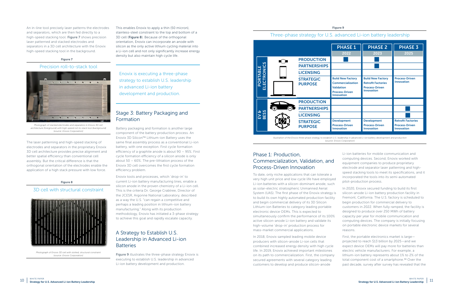## Phase 1: Production, Commercialization, Validation, and Process-Driven Innovation

To date, only niche applications that can tolerate a very high unit price and low cycle life have employed Li-ion batteries with a silicon-dominant anode, such as solar-electric stratospheric Unmanned Aerial System (UAS). The first phase of the Enovix strategy is to build its own highly automated production facility and begin commercial delivery of its 3D Silicon Lithium-ion Batteries to category leading portable electronic device OEMs. This is expected to simultaneously confirm the performance of its 100% active silicon-anode Li-ion battery and validate its high-volume 'drop-in' production process for mass-market commercial applications. incorporated the tools into its semi-automated pilot-production process. In 2020, Enovix secured funding to build its first silicon-anode Li-ion battery production facility in Fremont, California. The U.S. factory is scheduled to begin production for commercial delivery to customers in 2022. When fully ramped, the facility is designed to produce over 250 MWh of battery capacity per year for mobile communication and computing devices. The company is initially focusing on portable electronic device markets for several reasons.

Li-ion batteries for mobile communication and computing devices. Second, Enovix worked with equipment companies to produce proprietary electrode and separator laser patterning and highspeed stacking tools to meet its specifications, and it

In 2018, Enovix sampled leading mobile device producers with silicon-anode Li-ion cells that combined increased energy density with high cycle life. In 2019, Enovix achieved important milestones on its path to commercialization. First, the company secured agreements with several category leading customers to develop and produce silicon-anode First, the portable electronics market is large projected to reach \$13 billion by 2025—and we expect device OEMs will pay more for batteries than electric vehicle manufacturers. For example, a lithium-ion battery represents about 1% to 2% of the total component cost of a smartphone.<sup>38</sup> Over the past decade, survey after survey has revealed that the

## A Strategy to Establish U.S. Leadership in Advanced Li-ion **Batteries**

Figure 9 illustrates the three-phase strategy Enovix is executing to establish U.S. leadership in advanced Li-ion battery development and production.

An in-line tool precisely laser patterns the electrodes and separators, which are then fed directly to a high-speed stacking tool. Figure 7 shows precision laser patterned and stacked electrodes and separators in a 3D cell architecture with the Enovix high-speed stacking tool in the background.

The laser patterning and high-speed stacking of electrodes and separators in the proprietary Enovix 3D cell architecture provides precise alignment and better spatial efficiency than conventional cell assembly. But the critical difference is that the orthogonal orientation of the electrodes enable the application of a high stack pressure with low force.

This enables Enovix to apply a thin (50 micron), stainless-steel constraint to the top and bottom of a 3D cell (Figure 8). Because of the orthogonal orientation, Enovix can incorporate an anode with silicon as the only active lithium cycling material into a Li-ion cell and not only significantly increase energy density but also maintain high cycle life.

Enovix is executing a three-phase strategy to establish U.S. leadership in advanced Li-ion battery development and production.

## Stage 3: Battery Packaging and Formation

Battery packaging and formation is another large component of the battery production process. An Enovix 3D Silicon™ Lithium-ion Battery uses the same final assembly process as a conventional Li-ion battery, with one exception. First cycle formation efficiency of a graphite anode is about 90 – 95%. First cycle formation efficiency of a silicon anode is only about 50 – 60%. The pre-lithiation process of the Enovix 3D cell overcomes the first cycle formation efficiency problem.

Enovix tools and processes, which 'drop-in' to current Li-ion battery manufacturing lines, enable a silicon anode in the proven chemistry of a Li-ion cell. This is the criteria Dr. George Crabtree, Director of the JCESR, Argonne National Laboratory, described as a way the U.S. "can regain a competitive and perhaps a leading position in lithium-ion battery manufacturing." Along with its production methodology, Enovix has initiated a 3-phase strategy to achieve this goal and rapidly escalate capacity.

## Precision roll-to-stack tool



*Photograph of stacked electrodes and separators in Enovix 3D cell architecture (foreground) with high-speed roll-to-stack tool (background) (source: Enovix Corporation)*

#### Figure 7

## 3D cell with structural constraint



*Photograph of Enovix 3D cell with slotted, structural constraint (source: Enovix Corporation)*



Figure 9



*Illustration of the Enovix three-phase strategy to establish U.S. leadership in advanced Li-ion battery development and production (source: Enovix Corporation)*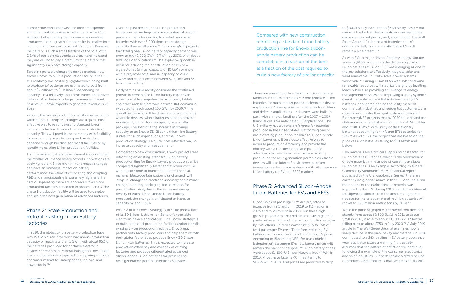number one consumer wish for their smartphones and other mobile devices is better battery life.<sup>37</sup> In addition, better battery performance has enabled producers to add greater functionality in smaller form factors to improve consumer satisfaction.38 Because the battery is such a small fraction of the total cost, OEMs of portable electronic devices have indicated they are willing to pay a premium for a battery that significantly increases storage capacity.

Targeting portable electronic device markets now allows Enovix to build a production facility in the U.S. at a relatively low cost (e.g., gigafactories being built to produce EV batteries are estimated to cost from about \$2 billion<sup>39</sup> to \$5 billion,<sup>40</sup> depending on capacity), in a relatively short time frame, and deliver millions of batteries to a large commercial market. As a result, Enovix expects to generate revenue in Q2 2022.

Second, the Enovix production facility is expected to validate that its 'drop-in' changes are a quick, costeffective way to retrofit existing standard Li-ion battery production lines and increase production capacity. This will provide the company with flexibility to pursue multiple paths to expand production capacity through building additional facilities or by retrofitting existing Li-ion production facilities.

Third, advanced battery development is occurring at the frontier of science where process innovations are evolving rapidly. Since even minor process changes can have an immense impact on battery performance, the value of collocating and coupling R&D and manufacturing is extremely high, and the risks of separating them are enormous.41 As more production facilities are added in phases 2 and 3, the phase 1 production facility will be used to develop and scale the next generation of advanced batteries.

## Phase 2: Scale Production and Retrofit Existing Li-ion Battery Factories

In 2010, the global Li-ion battery production base was 19 GWh.42 Most factories had annual production capacity of much less than 1 GWh, with about 95% of the batteries produced for portable electronic devices.43 Benchmark Mineral Intelligence described it as a "cottage industry geared to supplying a mobile consumer market for smartphones, laptops, and power-tools."44

Over the past decade, the Li-ion production landscape has undergone a major upheaval. Electric passenger vehicles coming to market now have batteries with over 5,000 times more storage capacity than a cell phone.45 BloombergNEF projects that total global Li-ion battery capacity demand will grow to over 2,000 GWh (2 TWh) by 2030, with about 80% for EV applications.46 This explosive growth in demand is driving the construction of 115 new gigafactories (annual capacity of 10 GWh or more) with a projected total annual capacity of 2,068 GWh47 and capital costs between \$2 billion and \$5 billion per factory.

EV dynamics have mostly obscured the continued growth in demand for Li-ion battery capacity to power portable computers, smartphones, tablets, and other mobile electronic devices. But demand is expected to reach about 160 GWh by 2030.48 The growth in demand will be driven more and more by wearable devices, where batteries need to provide significantly more storage capacity in a smaller package. The step-change increase in storage capacity of an Enovix 3D Silicon Lithium-ion Battery is ideal for such applications, and the Enovix production strategy is a quick, cost-effective way to increase capacity and meet demand.

Compared to new construction, Enovix projects that retrofitting an existing, standard Li-ion battery production line for Enovix battery production can be completed significantly faster and at lower cost, i.e., with quicker time to market and better financial margins. Electrode fabrication is unchanged, with 'drop-in' changes to electrode assembly and a minor change to battery packaging and formation for pre-lithiation. And, due to the increased energy density of each silicon-anode Li-ion battery produced, the change is anticipated to increase capacity by about 30%.

Phase 2 of the Enovix strategy is to scale production of its 3D Silicon Lithium-ion Battery for portable electronic device applications. The Enovix strategy is to build additional production facilities and/or retrofit existing Li-ion production facilities. Enovix may partner with battery producers and help them retrofit their global factories to produce Enovix 3D Silicon Lithium-ion Batteries. This is expected to increase production efficiency and capacity of existing factories and produce differentiated advanced silicon-anode Li-ion batteries for present and next-generation portable electronics devices.

Compared with new construction, retrofitting a standard Li-ion battery production line for Enovix siliconanode battery production can be completed in a fraction of the time at a fraction of the cost required to build a new factory of similar capacity.

.

There are presently only a handful of Li-ion battery factories in the United States.49 None produce Li-ion batteries for mass-market portable electronic device applications. Some specialize in batteries for military and defense applications, and others were built, in part, with stimulus funding after the 2007 – 2009 financial crisis for anticipated EV applications. The U.S. military has a strong preference for batteries produced in the United States. Retrofitting one or more existing production facilities to silicon-anode Li-ion batteries will be a cost-effective way to increase production efficiency and provide the military with a U.S. developed and produced advanced silicon-anode Li-ion battery. Scaling production for next-generation portable electronic devices will also inform Enovix process-driven innovation as the company develops its silicon-anode Li-ion battery for EV and BESS markets.

## Phase 3: Advanced Silicon-Anode Li-ion Batteries for EVs and BESS

to \$100/kWh by 2024 and to \$61/kWh by 2030.51 But some of the factors that have driven the rapid price decrease may not persist, and, according to The Wall Street Journal, "If the cost of batteries doesn't continue to fall, long-range affordable EVs will remain a pipe dream."52

As with EVs, a major driver of battery energy storage systems (BESS) adoption is the decreasing cost of Li-ion batteries.53 Li-ion BESS are emerging as one of the key solutions to effectively integrate solar and wind renewables in utility-scale power systems worldwide.54 Pairing Li-ion BESS with solar and wind renewable resources will stabilize the grid by levelling loads, while also providing a full range of energy management services and improving a utility system's overall capacity factor.55 Behind-the-meter (BTM) batteries, connected behind the utility meter of commercial, industrial, and residential customers, are growing even faster than grid scale applications.56 BloombergNEF projects that by 2030 the demand for stationary storage (utility-scale grid plus BTM) will be about 180 GWh,<sup>57</sup> with utility-scale stationary batteries accounting for 44% and BTM batteries for 56%.58 As with EVs, the projections are based on the price of Li-ion batteries falling to \$100/kWh and below.

Global sales of passenger EVs are projected to increase from 2.1 million in 2019 to 8.5 million in 2025 and to 26 million in 2030. But these highgrowth projections are predicated on average price parity between EVs and internal combustion vehicles by mid-2020s. Batteries constitute 35% to 45% of total passenger EV cost. Therefore, reducing EV battery cost is synonymous with reducing EV price. According to BloombergNEF, "for mass market [adoption of] passenger EVs, low battery prices will remain the most critical goal."50 Li-ion battery prices were above \$1,100 (U.S.) per kilowatt-hour (kWh) in 2010. Prices have fallen 87% in real terms to \$156/kWh in 2019. And prices are predicted to drop rocket to 1.75 million metric tons by 2028.59 While the price of graphite (per metric ton) declined sharply from about \$2,500 (U.S.) in 2011 to about \$750 in 2016, it rose to about \$1,100 in 2017 before falling back to about \$750 in July 2020.60 A July 2019 article in The Wall Street Journal examines how a sharp decline in the price of key raw materials in 2018 contributed to a 24% decline in EV battery costs that year. But it also issues a warning. "It is usually assumed that the pattern of deflation will continue, following the example of the consumer electronics and solar industries. But batteries are a different kind of product. One problem is that, whereas solar cells

Raw materials are a critical supply and cost factor for Li-ion batteries. Graphite, which is the predominant or sole material in the anode of currently available Li-ion batteries, is an example. According to Mineral Commodity Summaries 2019, an annual report published by the U.S. Geological Survey, there are currently no graphite mines in the U.S. About 40,000 metric tons of the carboniferous material was imported to the U.S. during 2018. Benchmark Mineral Intelligence estimates that the amount of graphite needed for the anode material in Li-ion batteries will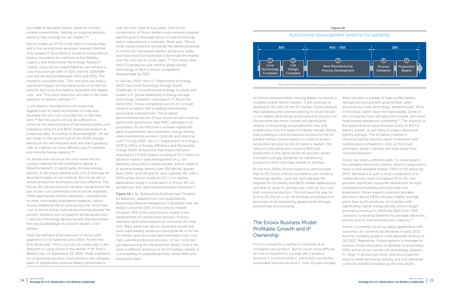are made of abundant silicon, batteries contain volatile commodities. Betting on ongoing declines seems a risky strategy for car makers."<sup>61</sup>

Silicon makes up 27.7% of the Earth's crust by mass and is the second most abundant element (behind only oxygen).62 According to research conducted on battery innovation by scientists at the Mobility, Logistics and Automotive Technology Research Centre, using silicon-based batteries can achieve a cost reduction per kWh of 30%, and the \$100/kWh cost will be reached between 2020 and 2025. The research concludes that, "This low price will have a significant impact on the overall price of an electric vehicles [sic] since the battery represents the largest cost," and "This price reduction will aide in the mass adoption of electric vehicles."63

Li-ion battery manufacturers are expecting gigafactories to reach economies of scale and decrease the unit cost of production in the near term.64 But this alone will not be sufficient to continue the required pace of decreasing battery cost needed to drive EV and BESS market penetration at projected rates. According to BloombergNEF, "As we get closer to the second half of the 2020s energy density at the cell and pack level will play a growing role, as it allows for more efficient use of materials and manufacturing capacity."65

An anode with silicon as the only active lithium cycling material has the potential to deliver a threefold benefit: 1) significantly increase energy density, 2) decrease material cost, and 3) leverage an abundant supply of raw material. But not all silicon anode production techniques are cost effective. The Enovix 3D cell architecture has been designed for the use of low-cost commodity silicon anode materials. Other approaches involve nanowires, nanoparticles or other structurally engineered materials, which involve additional silicon processing cost. And if the cost of silicon anode material processing exceeds the present, baseline cost of graphite anode production, it reduces the energy density benefit and diminishes the overall advantage of a silicon-anode Li-ion battery.

Tesla has blended small amounts of silicon with graphite in its EV batteries since 2015. At the time, Elon Musk said, "This is just sort of a baby step in the direction of using silicon in the anode."66 At Tesla's Battery Day, on September 22, 2020, Musk outlined a list of (primarily process) improvements the company plans to significantly improve battery performance

**Figure 10** is an "Automotive Development Timeline" for Batteries" adapted from one published by Benchmark Mineral Intelligence. It illustrates that cell design consumes 30% of total time to market. However, 50% of the total time to market is the development of a production process. Process validation and initial production consumes the final 20%. Many advanced silicon-dominant anode and solid-state battery producers have gone all-in on the EV market, and none have demonstrated a low-cost high-volume production process—in fact, most are just approaching this development phase. Enovix has taken a different direction to the EV battery market. It is proceeding on a parallel process-driven R&D and production path.

over the next three to four years. One of the components of Tesla's battery improvement program was the goal to leverage silicon-anode technology and to manufacture it internally. Musk said, "Silicon oxide-based solutions should be the advanced anode of choice for mainstream battery producers today, and they should be expected to dominate the market over the next five to seven years."67 This means that other EV producers will need to adopt similar technology or face a serious competitive disadvantage by 2025.

In January 2020, the U.S. Department of Energy (DOE) launched the Energy Storage Grand Challenge—a comprehensive strategy to create and sustain U.S. global leadership in energy storage technology, utilization, and exports.<sup>68</sup> About the same time, Enovix completed a proof-of-concept research program with a leading international automobile manufacturer. The program demonstrated that the Enovix silicon anode could be paired with automotive class NMC cathodes in its proprietary 3D architecture to achieve significant gains in gravimetric and volumetric energy density while maintaining excellent cycle life and reducing cost.69 In July 2020, the U.S. Department of Energy's (DOE's) Office of Energy Efficiency and Renewable Energy (EERE) announced that Enovix had been selected for FY2020 federal funding of \$3.2 million to advance research and development on Li-ion batteries using silicon-based anodes. Enovix expects to achieve energy density over 350 Wh/kg, greater than 1,000 cycle life and 10-year calendar life, with a 100% active silicon anode for EV Li-ion battery applications using a combination of Enovix 3D cell architecture and optimized electrolyte chemistry.70

Figure 10

## Automotive development timeline for batteries



*About half the time required to produce a new automotive battery is for development of a new manufacturing process.*

By the mid-2020s, Enovix expects to demonstrate that its 3D Silicon Lithium-ion Battery can combine the energy density, cycle life, and calendar life required for EV battery and BESS market applications, and that its 'drop-in' process can scale for low-cost high-volume production. This will pave the way for Enovix 3D Silicon Li-ion technology and production processes to be adopted by gigafactories through partnerships and licensing.

As Enovix commercializes existing battery products in multiple mobile device markets, it will continue to develop its 3D cells for the EV market. Enovix believes that validating and commercializing its silicon anode Li-ion battery technology and production process for the portable electronic market will significantly reduce its technology and production risks and enable entry into the larger EV battery market. Rather than creating a novel production process for the EV battery market, Enovix expects to scale its proven production process for the EV battery market. The value of collocating and coupling R&D and production in the same facility for process-driven innovation will pay dividends for transferring production from one mass market to another. there has been a parade of high-profile battery startups announced with great fanfare, often proclaiming a new technology "breakthrough." Most of the initial claims have not materialized. Some of the companies have radically restructured, and some have ceased operations completely.71 The majority of the failed ventures were focused solely on the EV battery market, as are many of today's advanced battery startups. The EV battery market is characterized by massive capital investment and ruthless price competition. And, by their own admission, today's startups are years away from commercialization. Enovix has taken a different path. Its initial target is

## The Enovix Business Model: Profitable Growth and IP Ownership

It's not unusual for a startup to conceive of an innovative new product. But it's much more difficult for one to transform a concept into a product, produce it, commercialize it, and build a successful, sustainable business around it. Over the past decade,

the portable electronics market, which is expected to reach a total available market (TAM) of \$13 billion by 2025. Because it is such a small component of a mobile device's total cost (about 1% to 2%), but provides significant consumer satisfaction through increased functionality and improved user experience, Enovix expects premium portable electronic device OEMs will pay a higher average

price, than an EV producer, for a battery with significantly higher energy density. Enovix began generating revenue in 2019 and 2020 from OEM contracts to develop batteries for portable electronic devices and to reserve production capacity.72

Enovix is currently securing supply agreements with customers for commercial deliveries in early 2022, and the company projects it will generate revenue in Q2 2022. Meanwhile, Enovix expects to leverage its process-driven innovation to develop its proprietary 100% active silicon-anode cell technology, prepare its 'drop-in' production tools, and secure partnerships to meet the energy density and cost demands of the EV and BESS markets by the mid-2020s.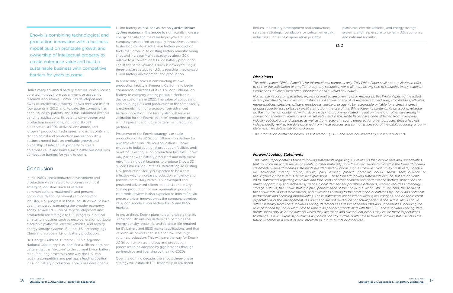Enovix is combining technological and production innovation with a business model built on profitable growth and ownership of intellectual property to create enterprise value and build a sustainable business with competitive barriers for years to come.

Unlike many advanced battery startups, which license core technology from government or academic research laboratories, Enovix has developed and owns its intellectual property. Enovix received its first four patents in 2012, and, to date, the company has been issued 89 patents, and it has submitted over 50 pending applications. Its patents cover design and production innovations, including 3D cell architecture, a 100% active silicon anode, and 'drop-in' production techniques. Enovix is combining technological and production innovation with a business model built on profitable growth and ownership of intellectual property to create enterprise value and build a sustainable business with competitive barriers for years to come.

## Conclusion

In the 1980s, semiconductor development and production was strategic to progress in critical emerging industries such as wireless communications, multimedia, and personal computers. Without a vibrant semiconductor industry, U.S. progress in these industries would have been hampered, damaging the broader economy. Today, advanced Li-ion battery development and production are strategic to U.S. progress in critical emerging industries such as next-generation portable electronic platforms, electric vehicles, and battery energy storage systems. But the U.S. presently lags China and Europe in Li-ion battery production.

Dr. George Crabtree, Director, JCESR, Argonne National Laboratory, has identified a silicon-dominant battery that can 'drop-in' to the current Li-ion battery manufacturing process as one way the U.S. can regain a competitive and perhaps a leading position in Li-ion battery production. Enovix has developed a

Li-ion battery with silicon as the only active lithium cycling material in the anode to significantly increase energy density and maintain high cycle life. The company has applied an equally innovative approach to develop roll-to-stack Li-ion battery production tools that 'drop-in' to existing battery manufacturing lines and increase MWh capacity by about 30% relative to a conventional Li-ion battery production line at the same volume. Enovix is now executing a three-phase strategy for U.S. leadership in advanced Li-ion battery development and production.

In phase one, Enovix is constructing its own production facility in Fremont, California to begin commercial deliveries of its 3D Silicon Lithium-ion Battery to category leading portable electronic device customers in 2022. The value of collocating and coupling R&D and production in the same facility is extremely high for process-driven advanced battery innovation. The facility also will serve as validation for the Enovix 'drop-in' production process with its present and future battery manufacturing partners.

Phase two of the Enovix strategy is to scale production of its 3D Silicon Lithium-ion Battery for portable electronic device applications. Enovix expects to build additional production facilities and/ or retrofit existing Li-ion production facilities. Enovix may partner with battery producers and help them retrofit their global factories to produce Enovix 3D Silicon Lithium-ion Batteries. Retrofitting an existing U.S. production facility is expected to be a costeffective way to increase production efficiency and provide the military with a U.S. developed and produced advanced silicon-anode Li-ion battery. Scaling production for next-generation portable electronic devices is also expected to inform Enovix process-driven innovation as the company develops its silicon-anode Li-ion battery for EV and BESS markets.

In phase three, Enovix plans to demonstrate that its 3D Silicon Lithium-ion Battery can combine the energy density, cycle life, and calendar life required for EV battery and BESS market applications, and that its 'drop-in' process can scale for low-cost highvolume production. This will pave the way for Enovix 3D Silicon Li-ion technology and production processes to be adopted by gigafactories through partnerships and licensing by the mid-2020s.

Over the coming decade, the Enovix three-phase strategy will establish U.S. leadership in advanced

#### *Disclaimers*

*This white paper ("White Paper") is for informational purposes only. This White Paper shall not constitute an offer to sell, or the solicitation of an offer to buy, any securities, nor shall there be any sale of securities in any states or jurisdictions in which such offer, solicitation or sale would be unlawful.*

*No representations or warranties, express or implied are given in, or in respect of, this White Paper. To the fullest extent permitted by law in no circumstances will Enovix or any of its respective subsidiaries, stockholders, affiliates,*  representatives, directors, officers, employees, advisers, or agents by responsible or liable for a direct, indirect, *or consequential loss or loss of profit arising from the use of this White Paper its contents, its omissions, reliance on the information contained within it, or on opinions communicated in relation thereto or otherwise arising in connection therewith. Industry and market data used in this White Paper have been obtained from third-party industry publications and sources as well as from research reports prepared for other purposes. Enovix has not independently verified the data obtained from these sources and cannot assure you of the data's accuracy or completeness. This data is subject to change.* 

*The information contained herein is as of March 19, 2021 and does not reflect any subsequent events.*

#### *Forward Looking Statements*

lithium-ion battery development and production; serve as a strategic foundation for critical, emerging industries such as next-generation portable platforms, electric vehicles, and energy storage systems; and help ensure long-term U.S. economic and national security.

*This White Paper contains forward-looking statements regarding future results that involve risks and uncertainties that could cause actual results or events to differ materially from the expectations disclosed in the forward-looking statements. Forward-looking statements are identified by words such as "believe," "will," "may," "estimate," "continue," "anticipate," "intend," "should," "would," "plan," "expect," "predict," "potential," "could," "seem," "seek, "outlook," or the negative of these terms or similar expressions. These forward-looking statements include, but are not limited to, statements regarding estimates and fore- casts of other financial and performance metrics, projections of market opportunity and technology trends, global demand for portable electronics, electric vehicles and energy storage systems, the Enovix strategic plan, performance of the Enovix 3D Silicon Lithium-ion cells, the scope of the Enovix total addressable market, and milestones relating to the production of batteries by Enovix and potential partnerships and licensing opportunities. These statements are based on various assumptions, and on the current expectations of the management of Enovix and are not predictions of actual performance. Actual results could differ materially from these forward-looking statements as a result of certain risks and uncertainties, including the risks described by Enovix from time to time in its periodic reports filed with the SEC. These forward-looking statements speak only as of the date on which they are made and subsequent events may cause these expectations to change. Enovix expressly disclaims any obligations to update or alter these forward-looking statements in the future, whether as a result of new information, future events or otherwise.*

#### END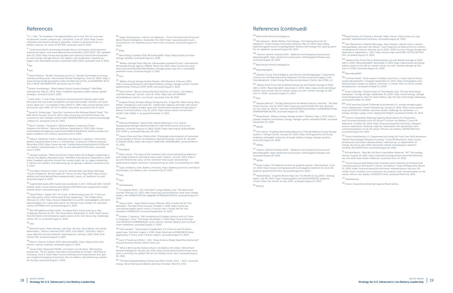## References

 $^1$  H. J. Mai, "To compete in the global battery arms race, the US must spur  $\,$ its domestic market, analysts say," *UtilityDive*, June 24, 2019, https://www. utilitydive.com/news/creating-a-domestic-market-is-paramount-for-usbattery-industry-to-close-th/557339/, accessed June 9, 2020.

2 "Commissioned EV and energy storage lithium-ion battery cell production capacity by region, and associated annual investment, 2010-2022," *IEA*, updated April 10, 2020, https://www.iea.org/data-and-statistics/charts/commissionedev-and-energy-storage-lithium-ion-battery-cell-production-capacity-byregion-and-associated-annual-investment-2010-2022, accessed June 9, 2020.

 $3$  Mai.

 $4$  Ibid.

 $^7$  Leslie Helm, "In the Chips: America's semiconductor industry again leads the world. But new Asian competitors are gaining strength. And you can never count Japan out." *Los Angeles Times*, March 5, 1995, https://www.latimes.com/ archives/la-xpm-1995-03-05-fi-39145-story.html, accessed June 9, 2020.

5 Simon Moores, "Written Testimony to the U.S. Senate Committee on Energy and Natural Resources," *Benchmark Mineral Intelligence*, June 24, 2020, https:// www.energy.senate.gov/public/index.cfm/files/serve?File\_id=6A3B3A00-8A72- 4DC3-8342-F6A7B9B33FEF, accessed July 27, 2020.

6 James Greenberger, "What Makes Certain Goods Strategic?" *NAATBatt International*, May 15, 2020, https://naatbatt.org/what-makes-certain-goodsstrategic/, accessed June 9, 2020.

8 Jacob M. Schlesinger, "How the Coronavirus Will Reshape World Trade," *The Wall Street Journal*, June 19, 2020, https://www.wsj.com/articles/how-thecoronavirus-will-reshape-world-trade-11592592995?mod=searchresults&page =2&pos=12, accessed June 23, 2020.

9 Marc D. Gietter, "Viewpoint: Offshore Battery Production Poses Problems for Military," *National Defense*, November 8, 2018, https://www. nationaldefensemagazine.org/articles/2018/11/8/offshore-battery-productionposes-problems-for-military, accessed June 9, 2020.

 $17$  Richard Collins, Peter Harrop, Luke Gear, Na Jiao, David Wyatt, and James Edmondson, "Electric Vehicles 2020-2030: 2nd Edition," *IDTechEx*, https:// www.idtechex.com/en/research-report/electric-vehicles-2020-2030-2ndedition/716, accessed August 4, 2020.

10 Abby R. Goldman, Frank S. Rotondo, and Jessica G. Swallow, "Lithium Ion Battery Industrial Base in the U.S. and Abroad," *Institute for Defense Analyses*, December 2019, https://www.ida.org/-/media/feature/publications/l/li/lithiumion-battery-industrial-base-in-the-us-and-abroad/d-11032.ashx, accessed June 9, 2020.

11 George Crabtree, "What Should the United States Do to Regain Leadership in Lithium-ion Battery Manufacturing?" *NAATBatt International*, December 6, 2019, https://naatbatt.org/what-should-the-united-states-do-to-regain-leadershipin-lithium-ion-battery-manufacturing-by-dr-george-crabtree/, accessed June 9, 2020.

12 Kurt Baes, Florence Carlot, Yuma Ito, Michael Kolk, and Adnan Merhaba, "Future of batteries: Winner takes all?" *Arthur D Little*, May 2018, https://www. adlittle.com/sites/default/files/viewpoints/adl\_future\_of\_batteries-min.pdf, accessed August 4, 2020.

13 Augmented reality (AR) market size worldwide in 2017, 2018 and 2025, ©2020 Statista, https://www.statista.com/statistics/897587/world-augmented-realitymarket-value/, accessed August 4, 2020.

14 David Phelan, "Apple CEO Tim Cook: As Brexit hangs over UK, 'Times are not really awful, there's some great things happening,'" *The Independent*, February 10, 2017, https://www.independent.co.uk/life-style/gadgets-and-tech/ features/apple-tim-cook-boss-brexit-uk-theresa-may-number-10-interviewustwo-a7574086.html, accessed August 4, 2020.

15 Nick Wingfield and Alex Heath, "As Apple Plans Come Into Focus, Big Challenges Remain for AR," *The Information*, November 12, 2019, https://www. theinformation.com/articles/as-apple-plans-come-into-focus-big-challengesremain-for-ar, accessed August 4, 2020.

 $16$  Ibid.

18 Electric Vehicle Outlook 2020, *BloombergNEF*, https://about.bnef.com/ electric-vehicle-outlook/, accessed August 4, 2020.

19 James Eddy, Alexander Pfeiffer, and Jasper van de Staaij, "Recharging economies: The EV-battery manufacturing outlook for Europe," *McKinsey & Company*, June 3, 2019, https://www.mckinsey.com/industries/oil-and-gas/ our-insights/recharging-economies-the-ev-battery-manufacturing-outlookfor-europe, accessed August 5, 2020.

 $^{46}$  "Electric Vehicle Outlook 2020 – Batteries and charging infrastructure," BloombergNEF, https://bnef.turtl.co/story/evo-2020/page/6/1?teaser=yes, accessed August 18, 2020.

<sup>49</sup> Donald Chung, Emma Elgqvist, and Shriram Santhanagopalan, "Automotive<br>Lithium-ion Cell Manufacturing: Regional Cost Structures and Supply Chain Considerations," *Clean Energy Manufacturing Analysis Center*, April 2016, p 2

20 Jegan Venkatasamy, "Lithium-ion Batteries – Price Trend and Cost Structure," *Beroe Market Intelligence*, November 26, 2019, https://www.beroeinc.com/ article/lithium-ion-batteries-price-trend-cost-structure/, accessed August 17, 2020.

#### 21 Eddy.

22 New Energy Outlook 2019, *BloombergNEF,* https://about.bnef.com/newenergy-outlook/, accessed August 5, 2020.

23 "Battery Storage Paves Way for a Renewable-powered Future," *International Renewable Energy Agency (IRENA)*, March 26, 2020, https://www.irena.org/ newsroom/articles/2020/Mar/Battery-storage-paves-way-for-a-renewablepowered-future, accessed August 5, 2020.

#### 24 Ibid.

25 Battery Energy Storage System Market, *GMI Research*, February 2020, https://www.gmiresearch.com/report/battery-energy-storage-system-marketopportunities-forecast-2019-2026/, accessed August 5, 2020.

26 Steve LeVine, "We are racing toward an electric-car future. Can battery scientists keep up?" Quartz, June 16, 2016, https://qz.com/699909 siliconbatteries-electric-car-future/, accessed June 18, 2018.

<sup>27</sup> Xinghao Zhang, Denghui Wang, Xiongying Qiu, Yingjie Ma, Debin Kong, Klaus Müllen, Xianglong Li and Linjie Zhi, "Stable high-capacity and high-rate siliconbased lithium battery anodes upon two-dimensional covalent encapsulation," *Nature Communications*, July 31, 2020, https://www.nature.com/articles/ s41467-020-17686-4, accessed December 4, 2020.

#### 28 Levine.

29 Manisha Phadatare., Rohan Patil, Nicklas Blomquist, et al. Silicon-Nanographite Aerogel-Based Anodes for High Performance Lithium Ion Batteries, *Scientific Reports 9*, 14621 (2019), https://doi.org/10.1038/s41598- 019-51087-y, accessed February 28, 2021.

<sup>30</sup> Xiuyun Zhao and Vesa-Pekka Lehto, Challenges and prospects of nanosized silicon anodes in lithium-ion batteries, *Nanotechnology, volume 32, Number 4*, 042002 (2021), https://doi.org/10.1088/1361-6528/abb850, accessed March 12, 2021.

#### <sup>31</sup> Phadatare.

32 Steve Levine, "The story of the invention that could revolutionize batteries and maybe American manufacturing as well," Quartz, June 22, 2015, https:// qz.com/433131/the-story-of-the-invention-that-could-revolutionizebatteriesand-maybe-american-manufacturing-as-well/, accessed May 24, 2018.

33 Types of Battery Cells, *Battery University*, https://batteryuniversity.com/learn/ article/types\_of\_battery\_cells, accessed July 27, 2020.

## $34$  Ibid..

<sup>35</sup> Ibid.

#### 36 Venkatasamy.

37 Christopher Mims, "Our One Wish? Longer Battery Life," *The Wall Street Journal*, February 22, 2015, http://www.wsj.com/articles/our-one-wish-longerbattery-life-1424650700?cb=logged0.2274062824435532, accessed August 17, 2020.

38 Joanna Stern, "Apple Watch Series 4 Review: Why I Finally Fell for This Wearable," *The Wall Street Journal*, October 2, 2018, https://www.wsj. com/articles/apple-watch-series-4-review-why-i-finally-fell-for-thiswearable-1538485200, accessed September 14, 2020.

39 Andrew J. Hawkins, "GM is building an EV battery factory with LG Chem in Lordstown, Ohio'" *The Verge*, December 5, 2019, https://www.theverge. com/2019/12/5/20996866/gm-lg-ev-electric-vehicle-battery-joint-venturechem-lordstown, accessed August 17, 2020.

40 Fred Lambert, "Tesla expects Gigafactory 3 in China to cost \$5 billion, report says," *Electrek*, August 1, 2018, https://electrek.co/2018/08/01/teslagigafactory-3-china-cost-5-billion-report/, accessed August 17, 2020.

41 Gary P. Pisano and Willy C. Shih, "Does America Really Need Manufacturing?" *Harvard Business Review*, March 2012, p 6.

42 "Who is Winning the Global Lithium-ion Battery Arms Race," *Benchmark Mineral Intelligence*, January 26, 2019, https://www.benchmarkminerals.com/ who-is-winning-the-global-lithium-ion-battery-arms-race/, accessed August 18, 2020.

43 "The Rechargeable Battery Market and Main Trends: 2014 – 2025," *Avicenne Energy*, 32nd International Battery Seminar & Exhibit, March 9, 2015.

## References (continued)

#### 44 Benchmark Mineral Intelligence.

45 Mal Skowron, "Better Battery Technology—The Tipping Point for EV Adoption?" Green Energy Consumers Alliance, May 13, 2019, https://blog. greenenergyconsumers.org/blog/better-battery-technology-the-tipping-pointfor-ev-adoption, accessed August 18, 2020.

47 Benchmark Mineral Intelligence.

#### 48 BloombergNEF.

50 "Battery Pack Prices Fall as Market Ramps Up with Market Average at \$156/ kWh in 2019," BloombergNEF, December 3, 2019, https://about.bnef.com/blog/ battery-pack-prices-fall-as-market-ramps-up-with-market-average-at-156 kwh-in-2019/, accessed August 21, 2020..

#### $51$  Ibid.

52 Stephen Wilmot, "The Big Obstacle on the Road to Electric Vehicles," *The Wall Street Journal*, July 18, 2019, https://www.wsj.com/articles/the-big-obstacleon-the-road-to-electric-vehicles-11563459592?shareToken=st2fd2d65bd7514 60b9a09f3a817bc700, accessed August 21, 2020.

53 Parag Diwan, "Battery Energy Storage System," *Medium*, May 1, 2019, https:// pdiwan.medium.com/battery-energy-storage-system-eb0e9a57d546, accessed November 20, 2020.

## 54 IRENA.

55 Tom Jones, "Enabling Renewable Resources Through Battery Energy Storage Systems," *Energy Central*, January 29, 2020, https://energycentral.com/c/cp/ enabling-renewable-resources-through-battery-energy-storage-systems, accessed August 24, 2020.

#### 56 IRENA.

57 "Electric Vehicle Outlook 2020 – Batteries and charging infrastructure," *BloombergNEF*, https://bnef.turtl.co/story/evo-2020/page/6/1?teaser=yes, accessed August 18, 2020.

#### 58 IRENA.

59 Shane Lasley, "EV batteries to drive 9x graphite growth," *Mining News*, June 22, 2020, https://www.miningnewsnorth.com/page/ev-batteries-to-drive-9xgraphite-growth/5754.html, accessed August 21, 2020..

60 Matt Bohlsen, "Graphite Miners News for The Month of July 2020," *Seeking Alpha*, July 28, 2020, https://seekingalpha.com/article/4361220-graphiteminers-news-for-month-of-july-2020, accessed August 21, 2020.

61 Wilmot.

|                        | <sup>62</sup> Royal Society of Chemistry, Periodic Table, Silicon, https://www.rsc.org/<br>periodic-table/element/14/silicon, accessed August 24, 2020.                                                                                                                                                                                                                                                 |
|------------------------|---------------------------------------------------------------------------------------------------------------------------------------------------------------------------------------------------------------------------------------------------------------------------------------------------------------------------------------------------------------------------------------------------------|
| nt-                    | 63 Gert Berckmans, Maarten Messagie, Jelle Smekens, Noshin Omar, Lieselot<br>Vanhaverbeke, and Joeri Van Mierlo, "Cost Projection of State of the Art Lithium-<br>Ion Batteries for Electric Vehicles Up to 2030," MPDI Journal: Energy Storage and<br>Application, September 1, 2017, https://www.mdpi.com/1996-1073/10/9/1314/<br>htm, accessed August 21, 2020.                                      |
|                        | 64 "Battery Pack Prices Fall as Market Ramps Up with Market Average at \$156/<br>kWh in 2019," BloombergNEF, December 3, 2019, https://about.bnef.com/blog/<br>battery-pack-prices-fall-as-market-ramps-up-with-market-average-at-156-<br>kwh-in-2019/, accessed August 21, 2020.                                                                                                                       |
|                        | 65 BloombergNEF.                                                                                                                                                                                                                                                                                                                                                                                        |
| ŋ/                     | $66$ Christian Ruoff, "Tesla tweaks its battery chemistry: a closer look at silicon<br>anode development," Charged, September 15, 2015, https://chargedevs.com/<br>features/tesla-tweaks-its-battery-chemistry-a-closer-look-at-silicon-anode-<br>development/, accessed October 14, 2020.                                                                                                              |
|                        | 67 Andy Colthrope, "Experts react to Tesla Battery Day: The key technology<br>takeaways," Energy Storage, September 30, 2020, https://www.energy-storage.<br>news/blogs/experts-react-to-tesla-battery-day-the-key-technology-takeaways,<br>accessed October 14, 2020.                                                                                                                                  |
| Vall<br>4 <sub>b</sub> | 68 "DOE launches Grand Challenge to accelerate U.S. energy storage supply<br>chain, deployment," Power Engineering, January 9, 2020, https://www.power-<br>eng.com/2020/01/09/doe-launches-grand-challenge-to-accelerae-u-s-<br>energy-storage-supply-chain-deployment/#gref, accessed October 14, 2020.                                                                                                |
| 11<br>sed<br>qe        | 69 "Enovix Corporation Booking Capacity Reservations for Production<br>and Commercialization of its 3D Silicon™ Lithium-ion Battery" Cision PR<br>Newswire, October 30, 2019, https://www.prnewswire.com/news-releases/<br>enovix-corporation-booking-capacity-reservations-for-production-and-<br>commercialization-of-its-3d-silicon-lithium-ion-battery-300947708.html,<br>accessed August 24, 2020. |
|                        | <sup>70</sup> "Enovix Selected by U.S. Department of Energy for Fiscal Year 2020 Advanced<br>Vehicle Technologies Research Funding," Cision PR Newswire, https://www.<br>prnewswire.com/news-releases/enovix-selected-by-us-department-of-<br>energy-for-fiscal-year-2020-advanced-vehicle-technologies-research-<br>funding-301118333.html, accessed August 26, 2020.                                  |
|                        | 71 Richard Martin, "Why We Still Don't Have Better Batteries," MIT Technology<br>Review, August 29, 2016, https://www.technologyreview.com/s/602245/why-<br>we-still-dont-have-better-batteries/, accessed June 22, 2018.                                                                                                                                                                               |
|                        | 72 "Enovix Secures \$45 Million from Investors and Customers to Produce and<br>Commercialize its 3D Silicon™ Lithium-ion Battery" Cision PR Newswire, March<br>31, 2020, https://www.prnewswire.com/news-releases/enovix-secures-45-<br>million-from-investors-and-customers-to-produce-and-commercialize-its-3d-<br>silicon-lithium-ion-battery-301032372.html, accessed March 16, 2021.               |
|                        | 73 Venkatasamy.                                                                                                                                                                                                                                                                                                                                                                                         |

74 Enovix Corporation Booking Capacity Reservations.